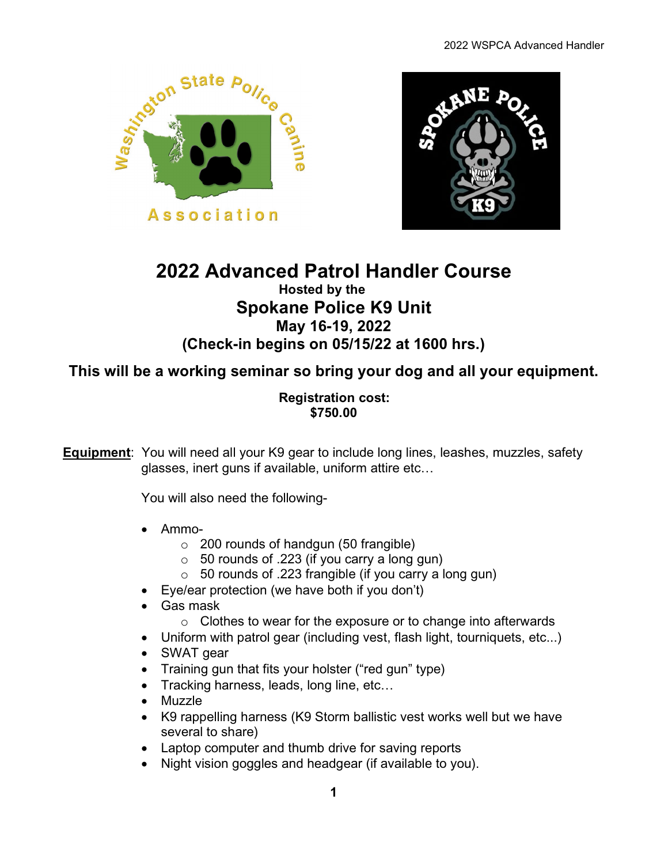



## **2022 Advanced Patrol Handler Course Hosted by the Spokane Police K9 Unit May 16-19, 2022 (Check-in begins on 05/15/22 at 1600 hrs.)**

**This will be a working seminar so bring your dog and all your equipment.** 

### **Registration cost: \$750.00**

**Equipment**: You will need all your K9 gear to include long lines, leashes, muzzles, safety glasses, inert guns if available, uniform attire etc…

You will also need the following-

- Ammo-
	- $\circ$  200 rounds of handgun (50 frangible)
	- $\circ$  50 rounds of .223 (if you carry a long gun)
	- $\circ$  50 rounds of .223 frangible (if you carry a long gun)
- Eye/ear protection (we have both if you don't)
- Gas mask
	- o Clothes to wear for the exposure or to change into afterwards
- Uniform with patrol gear (including vest, flash light, tourniquets, etc...)
- SWAT gear
- Training gun that fits your holster ("red gun" type)
- Tracking harness, leads, long line, etc...
- Muzzle
- K9 rappelling harness (K9 Storm ballistic vest works well but we have several to share)
- Laptop computer and thumb drive for saving reports
- Night vision goggles and headgear (if available to you).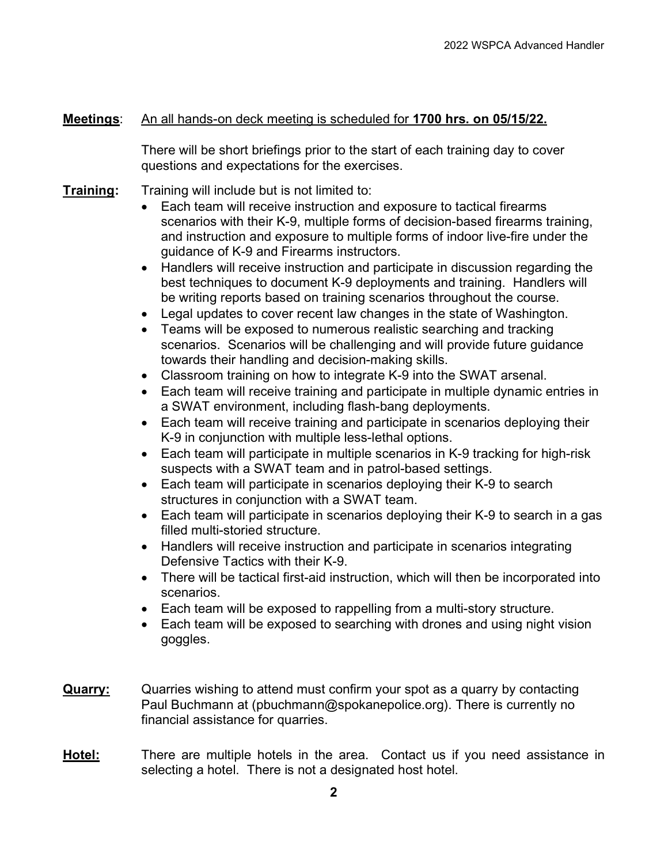#### **Meetings**: An all hands-on deck meeting is scheduled for **1700 hrs. on 05/15/22.**

There will be short briefings prior to the start of each training day to cover questions and expectations for the exercises.

- **Training:** Training will include but is not limited to:
	- Each team will receive instruction and exposure to tactical firearms scenarios with their K-9, multiple forms of decision-based firearms training, and instruction and exposure to multiple forms of indoor live-fire under the guidance of K-9 and Firearms instructors.
	- Handlers will receive instruction and participate in discussion regarding the best techniques to document K-9 deployments and training. Handlers will be writing reports based on training scenarios throughout the course.
	- Legal updates to cover recent law changes in the state of Washington.
	- Teams will be exposed to numerous realistic searching and tracking scenarios. Scenarios will be challenging and will provide future guidance towards their handling and decision-making skills.
	- Classroom training on how to integrate K-9 into the SWAT arsenal.
	- Each team will receive training and participate in multiple dynamic entries in a SWAT environment, including flash-bang deployments.
	- Each team will receive training and participate in scenarios deploying their K-9 in conjunction with multiple less-lethal options.
	- Each team will participate in multiple scenarios in K-9 tracking for high-risk suspects with a SWAT team and in patrol-based settings.
	- Each team will participate in scenarios deploying their K-9 to search structures in conjunction with a SWAT team.
	- Each team will participate in scenarios deploying their K-9 to search in a gas filled multi-storied structure.
	- Handlers will receive instruction and participate in scenarios integrating Defensive Tactics with their K-9.
	- There will be tactical first-aid instruction, which will then be incorporated into scenarios.
	- Each team will be exposed to rappelling from a multi-story structure.
	- Each team will be exposed to searching with drones and using night vision goggles.
- **Quarry:** Quarries wishing to attend must confirm your spot as a quarry by contacting Paul Buchmann at (pbuchmann@spokanepolice.org). There is currently no financial assistance for quarries.
- **Hotel:** There are multiple hotels in the area. Contact us if you need assistance in selecting a hotel. There is not a designated host hotel.